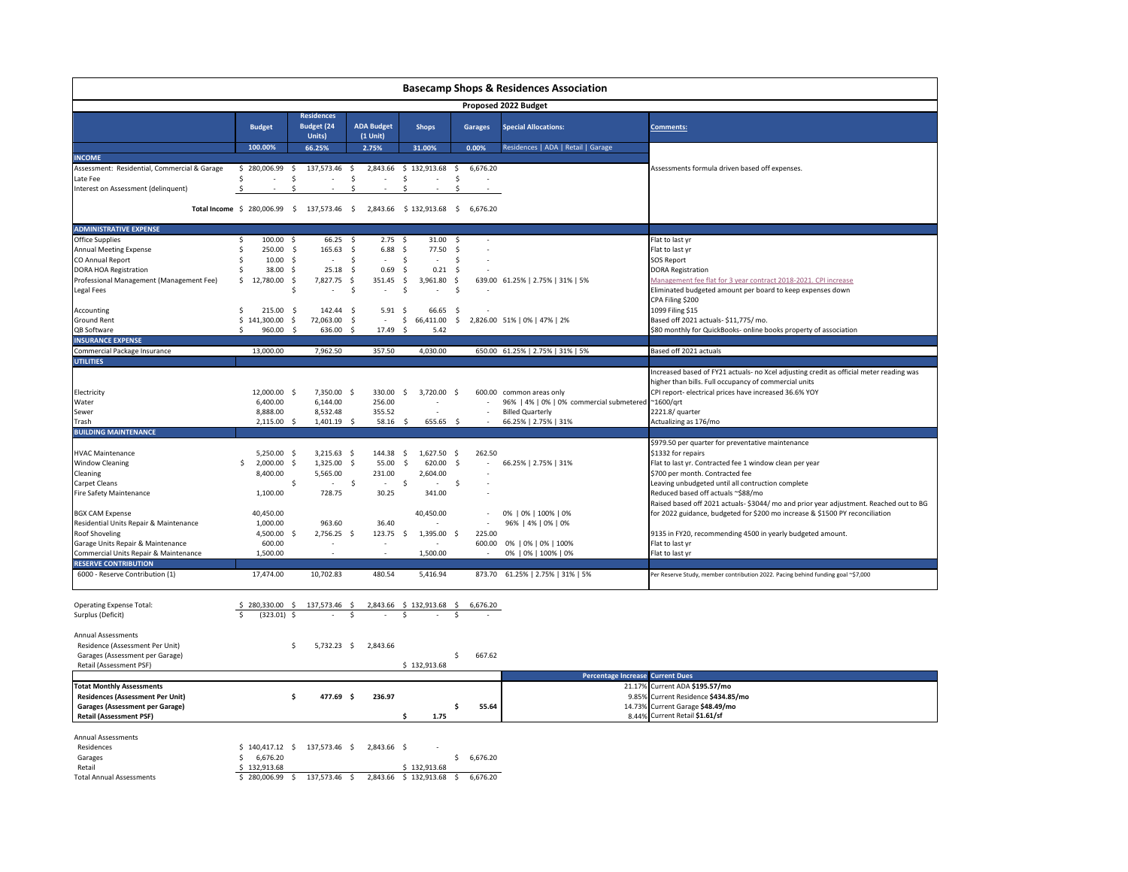|                                                   |                                                                                |                                                  |                                 |                                           |                       | <b>Basecamp Shops &amp; Residences Association</b> |                                                                                            |
|---------------------------------------------------|--------------------------------------------------------------------------------|--------------------------------------------------|---------------------------------|-------------------------------------------|-----------------------|----------------------------------------------------|--------------------------------------------------------------------------------------------|
|                                                   |                                                                                |                                                  |                                 |                                           |                       | Proposed 2022 Budget                               |                                                                                            |
|                                                   | <b>Budget</b>                                                                  | <b>Residences</b><br><b>Budget (24</b><br>Units) | <b>ADA Budget</b><br>$(1$ Unit) | <b>Shops</b>                              | Garages               | <b>Special Allocations:</b>                        | <b>Comments:</b>                                                                           |
|                                                   | 100.00%                                                                        | 66.25%                                           | 2.75%                           | 31.00%                                    | 0.00%                 | Residences   ADA   Retail   Garage                 |                                                                                            |
| <b>INCOME</b>                                     |                                                                                |                                                  |                                 |                                           |                       |                                                    |                                                                                            |
| Assessment: Residential, Commercial & Garage      | \$280,006.99                                                                   | 137,573.46<br>-\$                                | 2,843.66<br>-\$                 | \$132,913.68                              | \$<br>6,676.20        |                                                    | Assessments formula driven based off expenses.                                             |
| Late Fee<br>Interest on Assessment (delinquent)   | \$<br>Ŝ.                                                                       | \$<br><sup>\$</sup>                              | \$<br>Ś                         | \$<br>÷<br><sup>\$</sup>                  | \$<br>Ś               |                                                    |                                                                                            |
|                                                   | Total Income \$ 280,006.99 \$ 137,573.46 \$ 2,843.66 \$ 132,913.68 \$ 6,676.20 |                                                  |                                 |                                           |                       |                                                    |                                                                                            |
|                                                   |                                                                                |                                                  |                                 |                                           |                       |                                                    |                                                                                            |
| <b>ADMINISTRATIVE EXPENSE</b><br>Office Supplies  | 100.00<br>\$                                                                   | 66.25<br>- S                                     | 2.75<br>- Ś                     | 31.00<br>- \$                             | - Ś                   |                                                    |                                                                                            |
| Annual Meeting Expense                            | Ŝ.<br>250.00                                                                   | s.<br>165.63                                     | -\$<br>$6.88$ \$                | 77.50                                     | -\$<br>$\sim$         |                                                    | Flat to last yr<br>Flat to last yr                                                         |
| CO Annual Report                                  | Ŝ.<br>10.00                                                                    | - S<br>$\sim$                                    | \$.<br>$\sim$                   | \$.<br>$\sim$                             | S.                    |                                                    | <b>SOS Report</b>                                                                          |
| DORA HOA Registration                             | \$<br>38.00                                                                    | - \$<br>25.18                                    | - \$<br>0.69                    | -\$<br>0.21                               | - Ś                   |                                                    | <b>DORA Registration</b>                                                                   |
| Professional Management (Management Fee)          | 12,780.00 \$<br>\$                                                             | 7,827.75                                         | 351.45<br>- \$                  | 3,961.80<br>-\$                           | -\$                   | 639.00 61.25%   2.75%   31%   5%                   | Management fee flat for 3 year contract 2018-2021. CPI increase                            |
| Legal Fees                                        |                                                                                | Ŝ<br>$\sim$                                      | -S                              | \$                                        | .s                    |                                                    | Eliminated budgeted amount per board to keep expenses down                                 |
|                                                   |                                                                                |                                                  |                                 |                                           |                       |                                                    | CPA Filing \$200                                                                           |
| Accounting                                        | Ś<br>215.00 \$                                                                 | 142.44 \$                                        | $5.91\frac{2}{3}$               | 66.65                                     | $\mathsf{S}$          |                                                    | 1099 Filing \$15                                                                           |
| Ground Rent                                       | \$141,300.00                                                                   | 72,063.00<br>-\$                                 | - Ś<br>$\sim$                   | 66,411.00<br>\$                           | S.                    | 2,826.00 51%   0%   47%   2%                       | Based off 2021 actuals- \$11,775/ mo.                                                      |
| QB Software                                       | 960.00<br>Š.                                                                   | 636.00<br>-S                                     | 17.49<br>- S                    | -S<br>5.42                                |                       |                                                    | \$80 monthly for QuickBooks- online books property of association                          |
| <b>INSURANCE EXPENSE</b>                          |                                                                                |                                                  |                                 |                                           |                       |                                                    |                                                                                            |
| Commercial Package Insurance                      | 13,000.00                                                                      | 7,962.50                                         | 357.50                          | 4,030.00                                  |                       | 650.00 61.25%   2.75%   31%   5%                   | Based off 2021 actuals                                                                     |
| <b>UTILITIES</b>                                  |                                                                                |                                                  |                                 |                                           |                       |                                                    |                                                                                            |
|                                                   |                                                                                |                                                  |                                 |                                           |                       |                                                    | Increased based of FY21 actuals- no Xcel adjusting credit as official meter reading was    |
|                                                   |                                                                                |                                                  |                                 |                                           |                       |                                                    | higher than bills. Full occupancy of commercial units                                      |
| Electricity                                       | 12,000.00 \$                                                                   | 7,350.00 \$                                      | 330.00                          | 3,720.00 \$<br>\$                         |                       | 600.00 common areas only                           | CPI report- electrical prices have increased 36.6% YOY                                     |
| Water                                             | 6,400.00                                                                       | 6,144.00                                         | 256.00                          | $\overline{a}$                            |                       | 96%   4%   0%   0% commercial submetered ~1600/qrt |                                                                                            |
| Sewer                                             | 8,888.00                                                                       | 8,532.48                                         | 355.52                          | ÷.                                        |                       | <b>Billed Quarterly</b>                            | 2221.8/ quarter                                                                            |
| Trash                                             | 2,115.00 \$                                                                    | 1,401.19 \$                                      | 58.16                           | 655.65 \$<br>- Ś                          |                       | 66.25%   2.75%   31%                               | Actualizing as 176/mo                                                                      |
| <b>BUILDING MAINTENANCE</b>                       |                                                                                |                                                  |                                 |                                           |                       |                                                    |                                                                                            |
|                                                   |                                                                                |                                                  |                                 |                                           |                       |                                                    | \$979.50 per quarter for preventative maintenance                                          |
| <b>HVAC Maintenance</b><br><b>Window Cleaning</b> | 5,250.00<br>Ś<br>2,000.00                                                      | - \$<br>3,215.63<br>-\$<br>1,325.00              | 144.38<br>- S<br>-S<br>55.00    | 1,627.50<br>-S<br>-\$<br>620.00           | - \$<br>262.50<br>-\$ |                                                    | \$1332 for repairs                                                                         |
| Cleaning                                          | 8,400.00                                                                       | 5,565.00                                         | 231.00                          | 2,604.00                                  |                       | 66.25%   2.75%   31%                               | Flat to last yr. Contracted fee 1 window clean per year<br>\$700 per month. Contracted fee |
| Carpet Cleans                                     |                                                                                | \$<br>$\sim$                                     | S.<br>$\sim$                    | -\$<br>$\sim$                             | S.                    |                                                    | Leaving unbudgeted until all contruction complete                                          |
| Fire Safety Maintenance                           | 1,100.00                                                                       | 728.75                                           | 30.25                           | 341.00                                    | $\sim$                |                                                    | Reduced based off actuals ~\$88/mo                                                         |
|                                                   |                                                                                |                                                  |                                 |                                           |                       |                                                    | Raised based off 2021 actuals- \$3044/ mo and prior year adjustment. Reached out to BG     |
| <b>BGX CAM Expense</b>                            | 40,450.00                                                                      |                                                  |                                 | 40,450.00                                 |                       | 0%   0%   100%   0%                                | for 2022 guidance, budgeted for \$200 mo increase & \$1500 PY reconciliation               |
| Residential Units Repair & Maintenance            | 1,000.00                                                                       | 963.60                                           | 36.40                           |                                           |                       | 96%   4%   0%   0%                                 |                                                                                            |
| <b>Roof Shoveling</b>                             | 4,500.00 \$                                                                    | 2,756.25 \$                                      | 123.75                          | $\mathsf{S}$<br>1,395.00                  | 225.00<br>−\$         |                                                    | 9135 in FY20, recommending 4500 in yearly budgeted amount.                                 |
| Garage Units Repair & Maintenance                 | 600.00                                                                         |                                                  |                                 |                                           | 600.00                | 0%   0%   0%   100%                                | Flat to last yr                                                                            |
| Commercial Units Repair & Maintenance             | 1,500.00                                                                       |                                                  |                                 | 1,500.00                                  |                       | 0%   0%   100%   0%                                | Flat to last yr                                                                            |
| <b>RESERVE CONTRIBUTION</b>                       |                                                                                |                                                  |                                 |                                           |                       |                                                    |                                                                                            |
| 6000 - Reserve Contribution (1)                   | 17,474.00                                                                      | 10,702.83                                        | 480.54                          | 5,416.94                                  |                       | 873.70 61.25%   2.75%   31%   5%                   | Per Reserve Study, member contribution 2022. Pacing behind funding goal ~\$7,000           |
| <b>Operating Expense Total:</b>                   | \$280,330.00\$                                                                 | 137,573.46                                       | 2.843.66<br>- S                 | \$132,913.68 \$                           | 6,676.20              |                                                    |                                                                                            |
| Surplus (Deficit)                                 | $(323.01)$ \$<br>$\mathsf{s}$                                                  |                                                  | \$                              | .s                                        |                       |                                                    |                                                                                            |
|                                                   |                                                                                |                                                  |                                 |                                           |                       |                                                    |                                                                                            |
| Annual Assessments                                |                                                                                |                                                  |                                 |                                           |                       |                                                    |                                                                                            |
| Residence (Assessment Per Unit)                   |                                                                                | Ś<br>5,732.23 \$                                 | 2,843.66                        |                                           |                       |                                                    |                                                                                            |
| Garages (Assessment per Garage)                   |                                                                                |                                                  |                                 |                                           | \$<br>667.62          |                                                    |                                                                                            |
| Retail (Assessment PSF)                           |                                                                                |                                                  |                                 | \$132,913.68                              |                       |                                                    |                                                                                            |
|                                                   |                                                                                |                                                  |                                 |                                           |                       | <b>Percentage Increase Current Dues</b>            |                                                                                            |
| <b>Totat Monthly Assessments</b>                  |                                                                                |                                                  |                                 |                                           |                       | 21.17%                                             | Current ADA \$195.57/mo                                                                    |
| <b>Residences (Assessment Per Unit)</b>           |                                                                                | Ś<br>477.69 \$                                   | 236.97                          |                                           |                       | 9.85%                                              | Current Residence \$434.85/mo                                                              |
| <b>Garages (Assessment per Garage)</b>            |                                                                                |                                                  |                                 |                                           | 55.64<br>Ŝ            |                                                    | 14.73% Current Garage \$48.49/mo                                                           |
| <b>Retail (Assessment PSF)</b>                    |                                                                                |                                                  |                                 | 1.75<br>Ŝ.                                |                       |                                                    | 8.44% Current Retail \$1.61/sf                                                             |
|                                                   |                                                                                |                                                  |                                 |                                           |                       |                                                    |                                                                                            |
| <b>Annual Assessments</b>                         |                                                                                |                                                  |                                 |                                           |                       |                                                    |                                                                                            |
| Residences                                        | $$140,417.12$ \$                                                               | 137,573.46 \$                                    | 2,843.66 \$                     |                                           |                       |                                                    |                                                                                            |
| Garages                                           | \$<br>6,676.20                                                                 |                                                  |                                 |                                           | 6,676.20<br>s.        |                                                    |                                                                                            |
| Retail                                            | 132,913.68<br>-S<br>\$280,006.99 \$                                            | 137,573.46 \$                                    |                                 | \$132,913.68<br>2,843.66 \$ 132,913.68 \$ | 6,676.20              |                                                    |                                                                                            |
| <b>Total Annual Assessments</b>                   |                                                                                |                                                  |                                 |                                           |                       |                                                    |                                                                                            |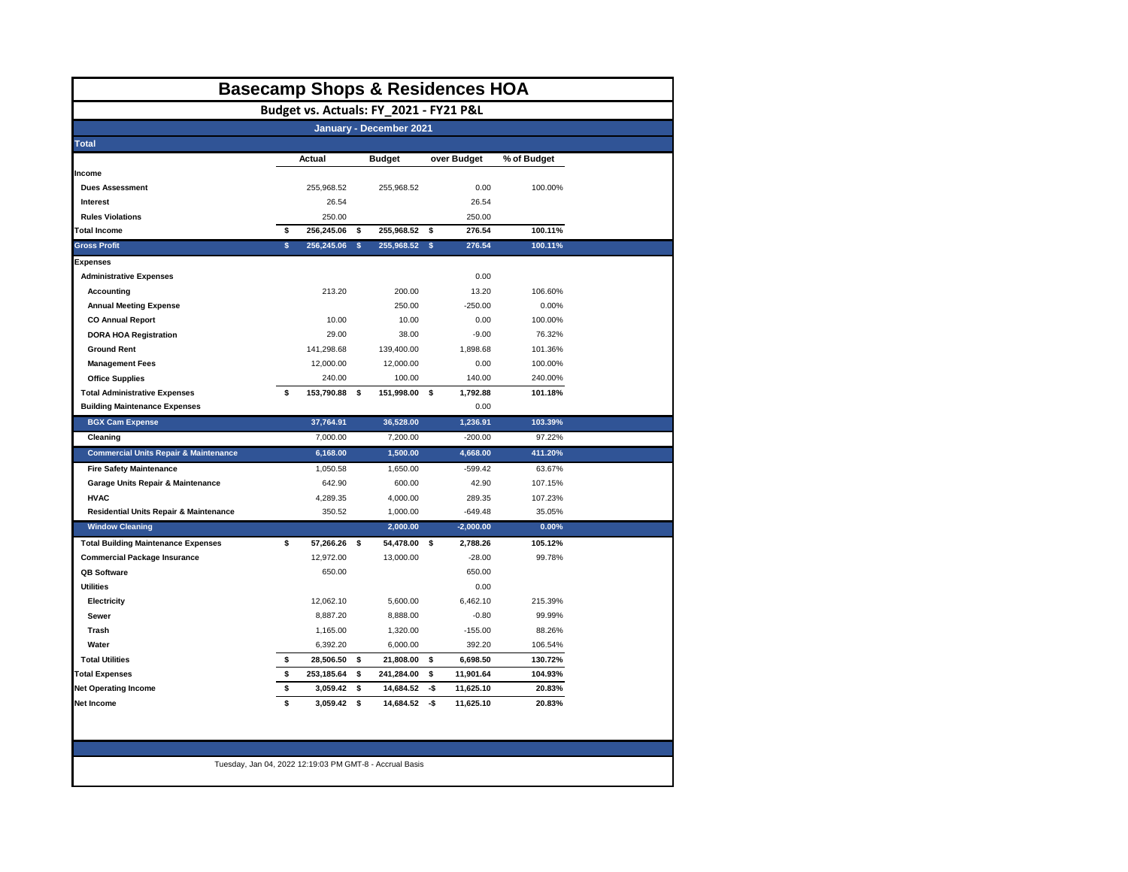| <b>Basecamp Shops &amp; Residences HOA</b>       |    |            |          |                                        |     |             |             |  |  |  |  |
|--------------------------------------------------|----|------------|----------|----------------------------------------|-----|-------------|-------------|--|--|--|--|
|                                                  |    |            |          | Budget vs. Actuals: FY_2021 - FY21 P&L |     |             |             |  |  |  |  |
| January - December 2021                          |    |            |          |                                        |     |             |             |  |  |  |  |
| <b>Total</b>                                     |    |            |          |                                        |     |             |             |  |  |  |  |
|                                                  |    | Actual     |          | <b>Budget</b>                          |     | over Budget | % of Budget |  |  |  |  |
| Income                                           |    |            |          |                                        |     |             |             |  |  |  |  |
| <b>Dues Assessment</b>                           |    | 255,968.52 |          | 255,968.52                             |     | 0.00        | 100.00%     |  |  |  |  |
| Interest                                         |    | 26.54      |          |                                        |     | 26.54       |             |  |  |  |  |
| <b>Rules Violations</b>                          |    | 250.00     |          |                                        |     | 250.00      |             |  |  |  |  |
| <b>Total Income</b>                              | \$ | 256,245.06 | \$       | 255,968.52                             | \$  | 276.54      | 100.11%     |  |  |  |  |
| <b>Gross Profit</b>                              | \$ | 256,245.06 | <b>s</b> | 255,968.52                             | s.  | 276.54      | 100.11%     |  |  |  |  |
| <b>Expenses</b>                                  |    |            |          |                                        |     |             |             |  |  |  |  |
| <b>Administrative Expenses</b>                   |    |            |          |                                        |     | 0.00        |             |  |  |  |  |
| <b>Accounting</b>                                |    | 213.20     |          | 200.00                                 |     | 13.20       | 106.60%     |  |  |  |  |
| <b>Annual Meeting Expense</b>                    |    |            |          | 250.00                                 |     | $-250.00$   | 0.00%       |  |  |  |  |
| <b>CO Annual Report</b>                          |    | 10.00      |          | 10.00                                  |     | 0.00        | 100.00%     |  |  |  |  |
| <b>DORA HOA Registration</b>                     |    | 29.00      |          | 38.00                                  |     | $-9.00$     | 76.32%      |  |  |  |  |
| <b>Ground Rent</b>                               |    | 141,298.68 |          | 139,400.00                             |     | 1,898.68    | 101.36%     |  |  |  |  |
| <b>Management Fees</b>                           |    | 12,000.00  |          | 12,000.00                              |     | 0.00        | 100.00%     |  |  |  |  |
| <b>Office Supplies</b>                           |    | 240.00     |          | 100.00                                 |     | 140.00      | 240.00%     |  |  |  |  |
| <b>Total Administrative Expenses</b>             | \$ | 153,790.88 | \$       | 151,998.00                             | \$  | 1,792.88    | 101.18%     |  |  |  |  |
| <b>Building Maintenance Expenses</b>             |    |            |          |                                        |     | 0.00        |             |  |  |  |  |
| <b>BGX Cam Expense</b>                           |    | 37,764.91  |          | 36,528.00                              |     | 1,236.91    | 103.39%     |  |  |  |  |
| Cleaning                                         |    | 7,000.00   |          | 7.200.00                               |     | $-200.00$   | 97.22%      |  |  |  |  |
| <b>Commercial Units Repair &amp; Maintenance</b> |    | 6,168.00   |          | 1,500.00                               |     | 4,668.00    | 411.20%     |  |  |  |  |
| <b>Fire Safety Maintenance</b>                   |    | 1,050.58   |          | 1,650.00                               |     | $-599.42$   | 63.67%      |  |  |  |  |
| Garage Units Repair & Maintenance                |    | 642.90     |          | 600.00                                 |     | 42.90       | 107.15%     |  |  |  |  |
| <b>HVAC</b>                                      |    | 4,289.35   |          | 4,000.00                               |     | 289.35      | 107.23%     |  |  |  |  |
| Residential Units Repair & Maintenance           |    | 350.52     |          | 1,000.00                               |     | $-649.48$   | 35.05%      |  |  |  |  |
| <b>Window Cleaning</b>                           |    |            |          | 2,000.00                               |     | $-2,000.00$ | 0.00%       |  |  |  |  |
| <b>Total Building Maintenance Expenses</b>       | \$ | 57,266.26  | \$       | 54,478.00                              | \$  | 2,788.26    | 105.12%     |  |  |  |  |
| <b>Commercial Package Insurance</b>              |    | 12,972.00  |          | 13,000.00                              |     | $-28.00$    | 99.78%      |  |  |  |  |
| <b>QB Software</b>                               |    | 650.00     |          |                                        |     | 650.00      |             |  |  |  |  |
| <b>Utilities</b>                                 |    |            |          |                                        |     | 0.00        |             |  |  |  |  |
| Electricity                                      |    | 12,062.10  |          | 5,600.00                               |     | 6,462.10    | 215.39%     |  |  |  |  |
| Sewer                                            |    | 8,887.20   |          | 8,888.00                               |     | $-0.80$     | 99.99%      |  |  |  |  |
| Trash                                            |    | 1,165.00   |          | 1,320.00                               |     | $-155.00$   | 88.26%      |  |  |  |  |
| Water                                            |    | 6,392.20   |          | 6,000.00                               |     | 392.20      | 106.54%     |  |  |  |  |
| <b>Total Utilities</b>                           | \$ | 28,506.50  | \$       | 21,808.00                              | \$  | 6,698.50    | 130.72%     |  |  |  |  |
| <b>Total Expenses</b>                            | \$ | 253,185.64 | \$       | 241,284.00                             | \$  | 11,901.64   | 104.93%     |  |  |  |  |
|                                                  | \$ | 3,059.42   | \$       | 14,684.52                              | -\$ | 11,625.10   | 20.83%      |  |  |  |  |
| <b>Net Operating Income</b>                      | \$ | 3,059.42   | \$       | 14,684.52                              | -\$ | 11,625.10   | 20.83%      |  |  |  |  |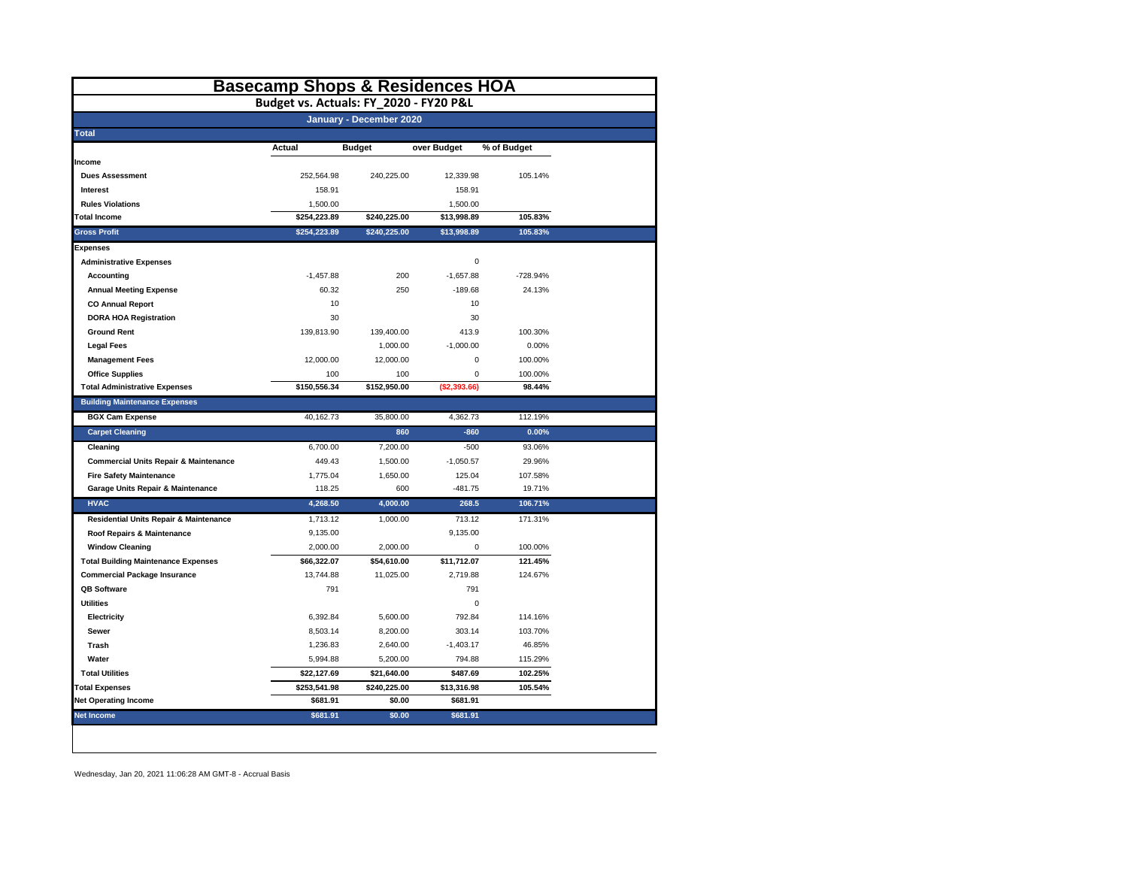|                                                  | <b>Basecamp Shops &amp; Residences HOA</b> |                         |              |             |
|--------------------------------------------------|--------------------------------------------|-------------------------|--------------|-------------|
|                                                  | Budget vs. Actuals: FY_2020 - FY20 P&L     |                         |              |             |
|                                                  |                                            | January - December 2020 |              |             |
| <b>Total</b>                                     |                                            |                         |              |             |
|                                                  | Actual                                     | <b>Budget</b>           | over Budget  | % of Budget |
| Income                                           |                                            |                         |              |             |
| <b>Dues Assessment</b>                           | 252,564.98                                 | 240,225.00              | 12,339.98    | 105.14%     |
| Interest                                         | 158.91                                     |                         | 158.91       |             |
| <b>Rules Violations</b>                          | 1,500.00                                   |                         | 1,500.00     |             |
| <b>Total Income</b>                              | \$254,223.89                               | \$240,225.00            | \$13,998.89  | 105.83%     |
| <b>Gross Profit</b>                              | \$254,223.89                               | \$240,225.00            | \$13,998.89  | 105.83%     |
| <b>Expenses</b>                                  |                                            |                         |              |             |
| <b>Administrative Expenses</b>                   |                                            |                         | $\mathbf 0$  |             |
| Accounting                                       | $-1,457.88$                                | 200                     | $-1,657.88$  | -728.94%    |
| <b>Annual Meeting Expense</b>                    | 60.32                                      | 250                     | $-189.68$    | 24.13%      |
| <b>CO Annual Report</b>                          | 10                                         |                         | 10           |             |
| <b>DORA HOA Registration</b>                     | 30                                         |                         | 30           |             |
| <b>Ground Rent</b>                               | 139,813.90                                 | 139,400.00              | 413.9        | 100.30%     |
| <b>Legal Fees</b>                                |                                            | 1,000.00                | $-1,000.00$  | 0.00%       |
| <b>Management Fees</b>                           | 12,000.00                                  | 12,000.00               | $\mathbf 0$  | 100.00%     |
| <b>Office Supplies</b>                           | 100                                        | 100                     | $\pmb{0}$    | 100.00%     |
| <b>Total Administrative Expenses</b>             | \$150,556.34                               | \$152,950.00            | (\$2,393.66) | 98.44%      |
| <b>Building Maintenance Expenses</b>             |                                            |                         |              |             |
| <b>BGX Cam Expense</b>                           | 40,162.73                                  | 35.800.00               | 4.362.73     | 112.19%     |
| <b>Carpet Cleaning</b>                           |                                            | 860                     | $-860$       | 0.00%       |
| Cleaning                                         | 6,700.00                                   | 7,200.00                | $-500$       | 93.06%      |
| <b>Commercial Units Repair &amp; Maintenance</b> | 449.43                                     | 1,500.00                | $-1,050.57$  | 29.96%      |
| <b>Fire Safety Maintenance</b>                   | 1,775.04                                   | 1,650.00                | 125.04       | 107.58%     |
| Garage Units Repair & Maintenance                | 118.25                                     | 600                     | $-481.75$    | 19.71%      |
| <b>HVAC</b>                                      | 4,268.50                                   | 4,000.00                | 268.5        | 106.71%     |
| Residential Units Repair & Maintenance           | 1,713.12                                   | 1,000.00                | 713.12       | 171.31%     |
| Roof Repairs & Maintenance                       | 9,135.00                                   |                         | 9,135.00     |             |
| <b>Window Cleaning</b>                           | 2,000.00                                   | 2,000.00                | $\mathbf 0$  | 100.00%     |
| <b>Total Building Maintenance Expenses</b>       | \$66,322.07                                | \$54,610.00             | \$11,712.07  | 121.45%     |
| <b>Commercial Package Insurance</b>              | 13,744.88                                  | 11,025.00               | 2,719.88     | 124.67%     |
| QB Software                                      | 791                                        |                         | 791          |             |
| <b>Utilities</b>                                 |                                            |                         | 0            |             |
| Electricity                                      | 6,392.84                                   | 5,600.00                | 792.84       | 114.16%     |
| Sewer                                            | 8,503.14                                   | 8,200.00                | 303.14       | 103.70%     |
| Trash                                            | 1,236.83                                   | 2,640.00                | $-1,403.17$  | 46.85%      |
| Water                                            | 5,994.88                                   | 5,200.00                | 794.88       | 115.29%     |
| <b>Total Utilities</b>                           | \$22,127.69                                | \$21,640.00             | \$487.69     | 102.25%     |
| <b>Total Expenses</b>                            | \$253,541.98                               | \$240,225.00            | \$13,316.98  | 105.54%     |
| <b>Net Operating Income</b>                      | \$681.91                                   | \$0.00                  | \$681.91     |             |
| <b>Net Income</b>                                | \$681.91                                   | \$0.00                  | \$681.91     |             |
|                                                  |                                            |                         |              |             |

Wednesday, Jan 20, 2021 11:06:28 AM GMT-8 - Accrual Basis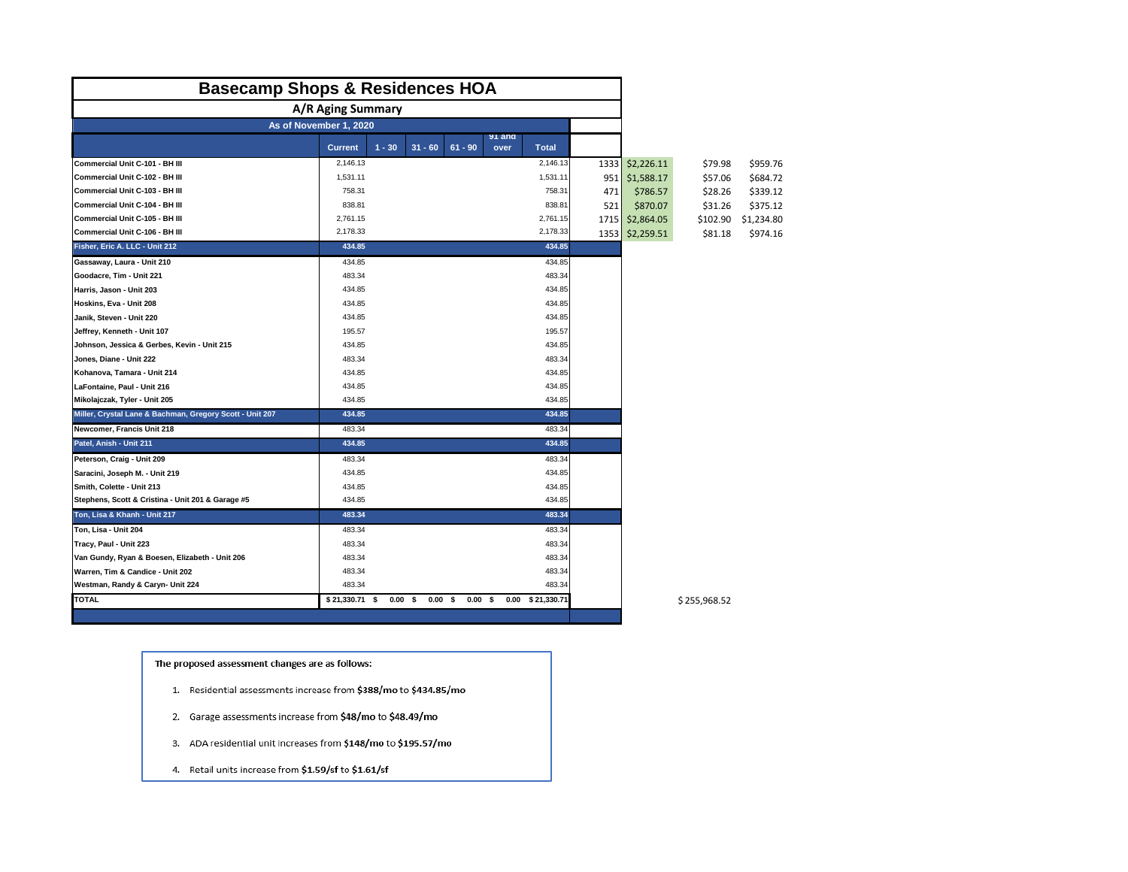| <b>Basecamp Shops &amp; Residences HOA</b>               |                |          |                                     |                |                |                  |      |            |              |            |
|----------------------------------------------------------|----------------|----------|-------------------------------------|----------------|----------------|------------------|------|------------|--------------|------------|
| A/R Aging Summary                                        |                |          |                                     |                |                |                  |      |            |              |            |
| As of November 1, 2020                                   |                |          |                                     |                |                |                  |      |            |              |            |
|                                                          | <b>Current</b> | $1 - 30$ | $31 - 60$                           | $61 - 90$      | 91 and<br>over | Total            |      |            |              |            |
| Commercial Unit C-101 - BH III                           | 2,146.13       |          |                                     |                |                | 2,146.13         | 1333 | \$2,226.11 | \$79.98      | \$959.76   |
| Commercial Unit C-102 - BH III                           | 1,531.11       |          |                                     |                |                | 1,531.11         | 951  | \$1,588.17 | \$57.06      | \$684.72   |
| Commercial Unit C-103 - BH III                           | 758.31         |          |                                     |                |                | 758.31           | 471  | \$786.57   | \$28.26      | \$339.12   |
| Commercial Unit C-104 - BH III                           | 838.81         |          |                                     |                |                | 838.81           | 521  | \$870.07   | \$31.26      | \$375.12   |
| Commercial Unit C-105 - BH III                           | 2,761.15       |          |                                     |                |                | 2,761.15         | 1715 | \$2,864.05 | \$102.90     | \$1,234.80 |
| Commercial Unit C-106 - BH III                           | 2,178.33       |          |                                     |                |                | 2,178.33         | 1353 | \$2,259.51 | \$81.18      | \$974.16   |
| Fisher, Eric A. LLC - Unit 212                           | 434.85         |          |                                     |                |                | 434.85           |      |            |              |            |
| Gassaway, Laura - Unit 210                               | 434.85         |          |                                     |                |                | 434.85           |      |            |              |            |
| Goodacre, Tim - Unit 221                                 | 483.34         |          |                                     |                |                | 483.34           |      |            |              |            |
| Harris, Jason - Unit 203                                 | 434.85         |          |                                     |                |                | 434.85           |      |            |              |            |
| Hoskins, Eva - Unit 208                                  | 434.85         |          |                                     |                |                | 434.85           |      |            |              |            |
| Janik, Steven - Unit 220                                 | 434.85         |          |                                     |                |                | 434.85           |      |            |              |            |
| Jeffrey, Kenneth - Unit 107                              | 195.57         |          |                                     |                |                | 195.57           |      |            |              |            |
| Johnson, Jessica & Gerbes, Kevin - Unit 215              | 434.85         |          |                                     |                |                | 434.85           |      |            |              |            |
| Jones, Diane - Unit 222                                  | 483.34         |          |                                     |                |                | 483.34           |      |            |              |            |
| Kohanova, Tamara - Unit 214                              | 434.85         |          |                                     |                |                | 434.85           |      |            |              |            |
| LaFontaine, Paul - Unit 216                              | 434.85         |          |                                     |                |                | 434.85           |      |            |              |            |
| Mikolajczak, Tyler - Unit 205                            | 434.85         |          |                                     |                |                | 434.85           |      |            |              |            |
| Miller, Crystal Lane & Bachman, Gregory Scott - Unit 207 | 434.85         |          |                                     |                |                | 434.85           |      |            |              |            |
| Newcomer, Francis Unit 218                               | 483.34         |          |                                     |                |                | 483.34           |      |            |              |            |
| Patel, Anish - Unit 211                                  | 434.85         |          |                                     |                |                | 434.85           |      |            |              |            |
| Peterson, Craig - Unit 209                               | 483.34         |          |                                     |                |                | 483.34           |      |            |              |            |
| Saracini, Joseph M. - Unit 219                           | 434.85         |          |                                     |                |                | 434.85           |      |            |              |            |
| Smith, Colette - Unit 213                                | 434.85         |          |                                     |                |                | 434.85           |      |            |              |            |
| Stephens, Scott & Cristina - Unit 201 & Garage #5        | 434.85         |          |                                     |                |                | 434.85           |      |            |              |            |
| Ton, Lisa & Khanh - Unit 217                             | 483.34         |          |                                     |                |                | 483.34           |      |            |              |            |
| Ton, Lisa - Unit 204                                     | 483.34         |          |                                     |                |                | 483.34           |      |            |              |            |
| Tracy, Paul - Unit 223                                   | 483.34         |          |                                     |                |                | 483.34           |      |            |              |            |
| Van Gundy, Ryan & Boesen, Elizabeth - Unit 206           | 483.34         |          |                                     |                |                | 483.34           |      |            |              |            |
| Warren, Tim & Candice - Unit 202                         | 483.34         |          |                                     |                |                | 483.34           |      |            |              |            |
| Westman, Randy & Caryn- Unit 224                         | 483.34         |          |                                     |                |                | 483.34           |      |            |              |            |
| <b>TOTAL</b>                                             | \$21,330.71 \$ |          | 0.00 <sup>5</sup><br>$0.00\quad$ \$ | $0.00\quad$ \$ |                | 0.00 \$21,330.71 |      |            | \$255,968.52 |            |

## The proposed assessment changes are as follows:

- 1. Residential assessments increase from \$388/mo to \$434.85/mo
- 2. Garage assessments increase from \$48/mo to \$48.49/mo
- 3. ADA residential unit increases from \$148/mo to \$195.57/mo
- 4. Retail units increase from \$1.59/sf to \$1.61/sf